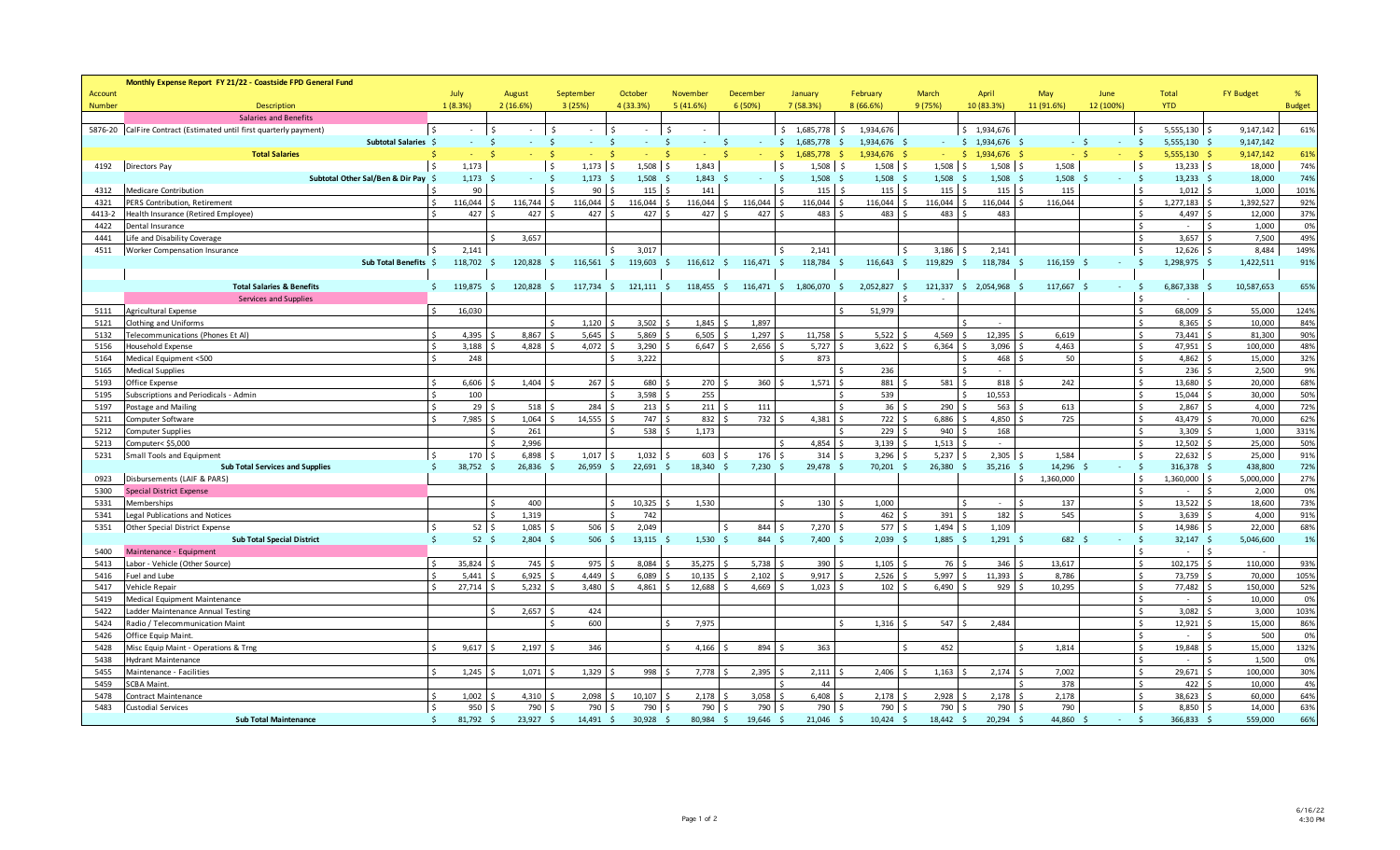|                | Monthly Expense Report FY 21/22 - Coastside FPD General Fund       |                    |              |               |                      |            |               |    |               |                                      |     |            |                      |                    |                  |                             |                |                             |      |                  |               |
|----------------|--------------------------------------------------------------------|--------------------|--------------|---------------|----------------------|------------|---------------|----|---------------|--------------------------------------|-----|------------|----------------------|--------------------|------------------|-----------------------------|----------------|-----------------------------|------|------------------|---------------|
| <b>Account</b> |                                                                    |                    | July         | August        |                      | September  | October       |    | November      | December                             |     | January    | February             | March              | April            | May                         | June           | <b>Total</b>                |      | <b>FY Budget</b> | %             |
| <b>Number</b>  | <b>Description</b>                                                 |                    | 1(8.3%)      | 2(16.6%)      |                      | 3(25%)     | 4 (33.3%)     |    | 5(41.6%)      | 6(50%)                               |     | 7(58.3%)   | 8(66.6%)             | 9 (75%)            | 10 (83.3%)       | 11 (91.6%)                  | 12 (100%)      | <b>YTD</b>                  |      |                  | <b>Budget</b> |
|                | <b>Salaries and Benefits</b>                                       |                    |              |               |                      |            |               |    |               |                                      |     |            |                      |                    |                  |                             |                |                             |      |                  |               |
|                | 5876-20 CalFire Contract (Estimated until first quarterly payment) |                    |              | -Ś            |                      | $\sim$     | <b>S</b>      | Ś  |               |                                      | Ś.  | 1,685,778  | 1,934,676<br>$\zeta$ |                    | \$1,934,676      |                             |                | 5,555,130                   |      | 9,147,142        | 61%           |
|                | Subtotal Salaries \$                                               |                    |              | -Ś            | -Ś                   |            | $\zeta$       | -Ś |               | -S                                   | -S  | 1,685,778  | 1,934,676 \$         | $\sim$             | 1,934,676<br>-S  | - S                         | - \$<br>$\sim$ | 5,555,130                   |      | 9,147,142        |               |
|                | <b>Total Salaries</b>                                              |                    |              |               | -S                   |            |               | Ŝ  |               |                                      |     | 1.685.778  | 1,934,676            |                    | 1.934.676<br>-Ś. |                             |                | 5,555,130 \$                |      | 9,147,142        | 61%           |
| 4192           | Directors Pay                                                      | $\mathsf{S}$       | 1,173        |               | l s                  | $1,173$ \$ | 1,508         | \$ | 1,843         |                                      |     | 1,508      | Ŝ.<br>$1,508$ \$     | 1,508              | $1,508$ \$<br>-Ś | 1,508                       |                | $13,233$ \$<br>۱Ś           |      | 18,000           | 74%           |
|                | Subtotal Other Sal/Ben & Dir Pay                                   |                    | 1,173        |               | -Ś                   | 1,173      | 1,508<br>S.   | -Ś | 1.843         |                                      | - Ś | 1,508      | 1,508                | 1,508<br>- \$      | 1,508<br>- \$    | 1,508<br>- \$               | - Ś            | 13,233                      | -S   | 18,000           | 74%           |
| 4312           | Medicare Contribution                                              |                    | 90           |               | $\ddot{\phantom{1}}$ | 90         | 115           |    | 141           |                                      |     | 115        | 115                  | 115                | 115              | 115                         |                | $\mathsf{\hat{S}}$<br>1,012 |      | 1,000            | 101%          |
| 4321           | PERS Contribution, Retirement                                      | <sup>\$</sup>      | 116.044      | 116.744       |                      | 116.044    | 116.044       |    | 116.044       | 116.044                              |     | 116.044    | 116.044              | 116.044            | 116.044          | 116.044                     |                | 1,277,183<br>$\mathsf{S}$   |      | 1.392.527        | 92%           |
| 4413-2         | Health Insurance (Retired Employee)                                |                    | 427          |               | 427                  | 427        | 427           |    | 427           | 427                                  |     | 483        | 483                  | 483                | 483              |                             |                | 4,497                       |      | 12.000           | 37%           |
| 4422           | Dental Insurance                                                   |                    |              |               |                      |            |               |    |               |                                      |     |            |                      |                    |                  |                             |                | $\sim$                      |      | 1.000            | 0%            |
| 4441           | Life and Disability Coverage                                       |                    |              |               | 3,657                |            |               |    |               |                                      |     |            |                      |                    |                  |                             |                | 3,657                       |      | 7,500            | 49%           |
| 4511           | Worker Compensation Insurance                                      |                    | 2,141        |               |                      |            | 3,017<br>Ŝ.   |    |               |                                      |     | 2,141      |                      | 3,186<br>S.        | 2,141            |                             |                | $\mathsf{S}$<br>12,626      |      | 8,484            | 149%          |
|                | Sub Total Benefits \$                                              |                    | 118,702      | 120,828       | -Ś                   | 116,561    | 119,603<br>S. |    | 116,612       | 116,471 \$<br>- \$                   |     | 118,784    | 116,643              | 119,829<br>- \$    | 118,784<br>-Ś    | 116,159<br>- \$             | - Ś            | 1,298,975<br>s.             |      | 1,422,511        | 91%           |
|                |                                                                    |                    |              |               |                      |            |               |    |               |                                      |     |            |                      |                    |                  |                             |                |                             |      |                  |               |
|                | <b>Total Salaries &amp; Benefits</b>                               |                    | 119,875      | 120,828       |                      | 117,734    | 121,111<br>-Ś |    | 118,455       | 116,471<br>- Ś                       | -Ŝ. | 1,806,070  | 2,052,827<br>-Ś.     | 121,337            | 2,054,968<br>-S  | 117,667<br>-Ś               |                | 6,867,338                   |      | 10,587,653       | 65%           |
|                | <b>Services and Supplies</b>                                       |                    |              |               |                      |            |               |    |               |                                      |     |            |                      |                    |                  |                             |                |                             |      |                  |               |
| 5111           | Agricultural Expense                                               | S.                 | 16,030       |               |                      |            |               |    |               |                                      |     |            | 51,979               |                    |                  |                             |                | Ŝ.<br>68,009                |      | 55,000           | 124%          |
| 5121           | Clothing and Uniforms                                              |                    |              |               |                      | 1,120      | 3,502         |    | 1,845         | 1,897                                |     |            |                      |                    |                  |                             |                | 8,365                       |      | 10,000           | 84%           |
| 5132           | <b>Felecommunications (Phones Et Al)</b>                           |                    | 4,395        |               | 8,867                | 5,645      | 5,869         |    | 6,505         | 1,297                                |     | 11,758     | 5,522                | 4,569              | 12,395           | 6,619                       |                | 73,441                      |      | 81,300           | 90%           |
| 5156           | Household Expense                                                  | <sub>S</sub>       | 3,188        |               | 4,828                | 4,072      | 3,290         |    | 6,647         | 2,656                                |     | 5,727      | 3,622                | 6,364              | 3,096            | 4,463                       |                | 47,951<br>\$                |      | 100,000          | 48%           |
| 5164           | Medical Equipment <500                                             | $\zeta$            | 248          |               |                      |            | 3,222         |    |               |                                      |     | 873        |                      |                    | 468              | 50                          |                | $\mathsf{S}$<br>4,862       |      | 15,000           | 32%           |
| 5165           | <b>Medical Supplies</b>                                            |                    |              |               |                      |            |               |    |               |                                      |     |            | 236                  |                    |                  |                             |                | Ś.<br>236                   |      | 2.500            | 9%            |
| 5193           | Office Expense                                                     | Š.                 | 6,606        |               | 1,404                | 267        | 680           |    | 270           | 360                                  |     | 1,571      | 881                  | 581                | 818              | 242                         |                | 13,680                      |      | 20.000           | 68%           |
| 5195           | Subscriptions and Periodicals - Admin                              |                    | 100          |               |                      |            | 3,598         |    | 255           |                                      |     |            | 539                  |                    | 10.553           |                             |                | 15,044<br>\$                |      | 30,000           | 50%           |
| 5197           | Postage and Mailing                                                | $\zeta$            | 29           |               | 518                  | 284        | 213           |    | 211           | 111                                  |     |            | 36                   | 290                | 563              | 613                         |                | $\mathsf{S}$<br>2,867       |      | 4.000            | 72%           |
| 5211           | Computer Software                                                  |                    | 7,985        |               | 1.064                | 14.555     | 747           |    | 832           | 732                                  |     | 4,381      | 722                  | 6.886              | 4.850            | 725                         |                | 43.479                      |      | 70.000           | 62%           |
| 5212           | Computer Supplies                                                  |                    |              |               | 261                  |            | 538           |    | 1.173         |                                      |     |            | 229                  | 940                | 168              |                             |                | 3,309                       |      | 1.000            | 331%          |
| 5213           | Computer< \$5,000                                                  |                    |              |               | 2.996                |            |               |    |               |                                      |     | 4.854      | 3.139                | 1.513              | $\mathbf{r}$     |                             |                | 12,502                      |      | 25,000           | 50%           |
| 5231           | Small Tools and Equipment                                          | -Ś                 | 170S         |               | 6,898                | 1,017      | 1,032         |    | 603           | $176$ \$                             |     | 314        | 3,296                | 5,237              | 2,305            | 1,584                       |                | l s<br>22,632               |      | 25,000           | 91%           |
|                | <b>Sub Total Services and Supplies</b>                             |                    | 38,752       | 26,836<br>- 5 | -S                   | 26.959     | 22,691<br>S.  | S. | 18.340<br>- S | $7,230$ \$                           |     | 29,478 \$  | 70,201               | $26,380$ \$<br>- 5 | 35,216           | 14,296<br>- \$              | S.             | 316,378<br>- 5              | -Ś   | 438,800          | 72%           |
| 0923           | Disbursements (LAIF & PARS)                                        |                    |              |               |                      |            |               |    |               |                                      |     |            |                      |                    |                  | \$<br>1,360,000             |                | 1,360,000<br>Ś              |      | 5,000,000        | 27%           |
| 5300           | <b>Special District Expense</b>                                    |                    |              |               |                      |            |               |    |               |                                      |     |            |                      |                    |                  |                             |                |                             |      | 2.000            | 0%            |
| 5331           | Memberships                                                        |                    |              |               | 400                  |            | 10,325        |    | 1,530         |                                      |     | 130        | 1,000                |                    | $\sim$           | 137<br>$\ddot{\phantom{0}}$ |                | 13,522                      |      | 18,600           | 73%           |
| 5341           | Legal Publications and Notices                                     |                    |              | $\sim$        | 1,319                |            | 742           |    |               |                                      |     |            | 462                  | 391                | 182              | 545                         |                | 3,639                       |      | 4,000            | 91%           |
| 5351           | <b>Other Special District Expense</b>                              | <sup>\$</sup>      | $52 \mid 5$  |               | 1,085                | 506        | 2,049         |    |               | $844$ $\overline{\phantom{0}}$<br>-Ś |     | $7,270$ \$ | 577S                 | $1,494$ \$         | 1,109            |                             |                | l s<br>14,986               |      | 22,000           | 68%           |
|                | <b>Sub Total Special District</b>                                  |                    | $52 \quad 5$ |               | $2,804$ \$           | 506        | 13,115<br>S.  |    | $1,530$ \$    | 844 \$                               |     | $7,400$ \$ | 2,039                | $1,885$ \$<br>- \$ | $1,291$ \$       | 682                         | $\zeta$        | 32,147<br>- \$              | - \$ | 5,046,600        | 1%            |
| 5400           | Maintenance - Equipment                                            |                    |              |               |                      |            |               |    |               |                                      |     |            |                      |                    |                  |                             |                | $\mathsf{\hat{S}}$          |      |                  |               |
| 5413           | Labor - Vehicle (Other Source)                                     | S.                 | 35,824       |               | 745                  | 975        | 8,084         |    | 35,275        | 5,738                                |     | 390        | 1,105                | 76                 | 346              | 13,617                      |                | s.<br>102,175               |      | 110,000          | 93%           |
| 5416           | Fuel and Lube                                                      | $\mathsf{\hat{S}}$ | 5,441        |               | 6,925                | 4,449      | 6,089         |    | 10,135        | 2,102                                |     | 9,917      | 2,526                | 5,997              | 11,393           | 8,786<br>-Ś                 |                | s.<br>73,759                |      | 70,000           | 105%          |
| 5417           | Vehicle Repair                                                     |                    | 27,714       |               | 5,232                | 3,480      | 4,861         |    | 12,688        | 4,669                                |     | 1,023      | 102                  | 6,490              | 929              | 10,295<br>$\zeta$           |                | Ś<br>77,482                 |      | 150,000          | 52%           |
| 5419           | Medical Equipment Maintenance                                      |                    |              |               |                      |            |               |    |               |                                      |     |            |                      |                    |                  |                             |                | Ś                           |      | 10,000           | 0%            |
| 5422           | Ladder Maintenance Annual Testing                                  |                    |              | -Ś            | 2,657                | 424        |               |    |               |                                      |     |            |                      |                    |                  |                             |                | Ŝ.<br>3,082                 |      | 3,000            | 103%          |
| 5424           | Radio / Telecommunication Maint                                    |                    |              |               |                      | 600        |               |    | 7.975         |                                      |     |            | 1.316                | 547                | 2.484            |                             |                | $\zeta$<br>12,921           |      | 15.000           | 86%           |
| 5426           | Office Equip Maint.                                                |                    |              |               |                      |            |               |    |               |                                      |     |            |                      |                    |                  |                             |                | $\sim$                      |      | 500              | 0%            |
| 5428           | Misc Equip Maint - Operations & Trng                               |                    | 9,617        |               | 2,197                | 346        |               |    | 4,166         | 894                                  |     | 363        |                      | 452                |                  | 1,814                       |                | $\zeta$<br>19,848           |      | 15,000           | 132%          |
| 5438           | <b>Hydrant Maintenance</b>                                         |                    |              |               |                      |            |               |    |               |                                      |     |            |                      |                    |                  |                             |                |                             |      | 1,500            | 0%            |
| 5455           | Maintenance - Facilities                                           |                    | 1,245        |               | 1,071                | 1,329      | 998           |    | 7,778         | 2,395                                |     | 2,111      | 2,406                | 1,163              | 2,174            | 7.002                       |                | $\mathsf{S}$<br>29,671      |      | 100.000          | 30%           |
| 5459           | <b>SCBA Maint.</b>                                                 |                    |              |               |                      |            |               |    |               |                                      |     | 44         |                      |                    |                  | 378                         |                | 422<br>Š.                   |      | 10.000           | 4%            |
| 5478           | Contract Maintenance                                               |                    | 1.002        |               | 4,310                | 2,098      | 10,107        |    | 2,178         | 3.058                                |     | 6.408      | 2,178                | 2,928              | 2,178            | 2.178                       |                | Ś<br>38,623                 |      | 60.000           | 64%           |
| 5483           | <b>Custodial Services</b>                                          | <sup>\$</sup>      | 950          |               | 790<br>-Ś            | 790        | 790           | Ś  | 790 \$        | 790                                  |     | 790        | 790 \$               | 790                | 790 \$           | 790                         |                | l s<br>8,850                |      | 14,000           | 63%           |
|                | <b>Sub Total Maintenance</b>                                       |                    | 81,792 \$    |               | 23,927 \$            | 14,491     | 30.928<br>S.  |    | 80.984        | 19.646                               |     | 21.046     | 10,424               | 18,442 \$          | 20,294           | 44,860                      |                | 366.833                     |      | 559.000          | 66%           |